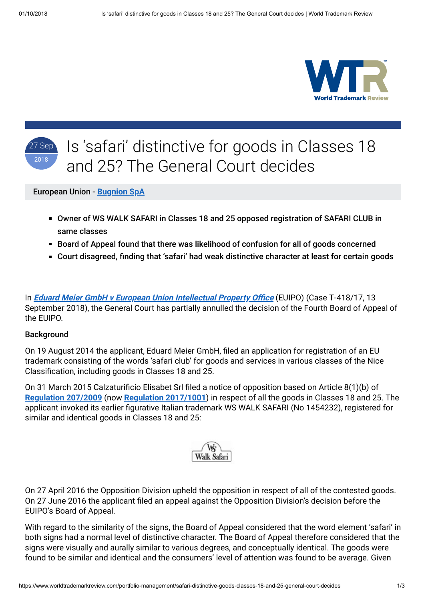



## **Background**

On 19 August 2014 the applicant, Eduard Meier GmbH, filed an application for registration of an EU trademark consisting of the words 'safari club' for goods and services in various classes of the Nice Classification, including goods in Classes 18 and 25.

On 31 March 2015 Calzaturificio Elisabet Srl filed a notice of opposition based on Article 8(1)(b) of **[Regulation 207/2009](https://eur-lex.europa.eu/legal-content/EN/TXT/?uri=celex%3A32009R0207)** (now **[Regulation 2017/1001](https://eur-lex.europa.eu/legal-content/EN/TXT/?uri=CELEX%3A32017R1001)**) in respect of all the goods in Classes 18 and 25. The applicant invoked its earlier figurative Italian trademark WS WALK SAFARI (No 1454232), registered for similar and identical goods in Classes 18 and 25:



On 27 April 2016 the Opposition Division upheld the opposition in respect of all of the contested goods. On 27 June 2016 the applicant filed an appeal against the Opposition Division's decision before the EUIPO's Board of Appeal.

With regard to the similarity of the signs, the Board of Appeal considered that the word element 'safari' in both signs had a normal level of distinctive character. The Board of Appeal therefore considered that the signs were visually and aurally similar to various degrees, and conceptually identical. The goods were found to be similar and identical and the consumers' level of attention was found to be average. Given